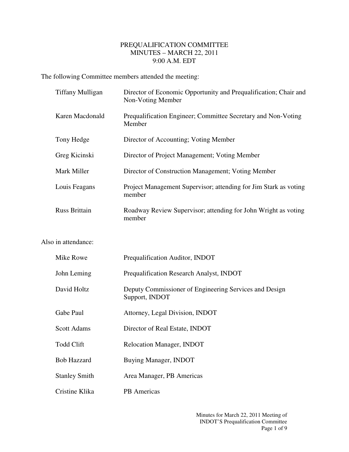## PREQUALIFICATION COMMITTEE MINUTES – MARCH 22, 2011 9:00 A.M. EDT

The following Committee members attended the meeting:

|                     | <b>Tiffany Mulligan</b> | Director of Economic Opportunity and Prequalification; Chair and<br>Non-Voting Member |  |
|---------------------|-------------------------|---------------------------------------------------------------------------------------|--|
|                     | Karen Macdonald         | Prequalification Engineer; Committee Secretary and Non-Voting<br>Member               |  |
|                     | Tony Hedge              | Director of Accounting; Voting Member                                                 |  |
|                     | Greg Kicinski           | Director of Project Management; Voting Member                                         |  |
|                     | Mark Miller             | Director of Construction Management; Voting Member                                    |  |
|                     | Louis Feagans           | Project Management Supervisor; attending for Jim Stark as voting<br>member            |  |
|                     | <b>Russ Brittain</b>    | Roadway Review Supervisor; attending for John Wright as voting<br>member              |  |
| Also in attendance: |                         |                                                                                       |  |
|                     | Mike Rowe               | Prequalification Auditor, INDOT                                                       |  |
|                     | John Leming             | Prequalification Research Analyst, INDOT                                              |  |
|                     | David Holtz             | Deputy Commissioner of Engineering Services and Design<br>Support, INDOT              |  |
|                     | Gabe Paul               | Attorney, Legal Division, INDOT                                                       |  |
|                     | <b>Scott Adams</b>      | Director of Real Estate, INDOT                                                        |  |
|                     | <b>Todd Clift</b>       | <b>Relocation Manager, INDOT</b>                                                      |  |
|                     | <b>Bob Hazzard</b>      | <b>Buying Manager, INDOT</b>                                                          |  |
|                     | <b>Stanley Smith</b>    | Area Manager, PB Americas                                                             |  |
|                     | Cristine Klika          | PB Americas                                                                           |  |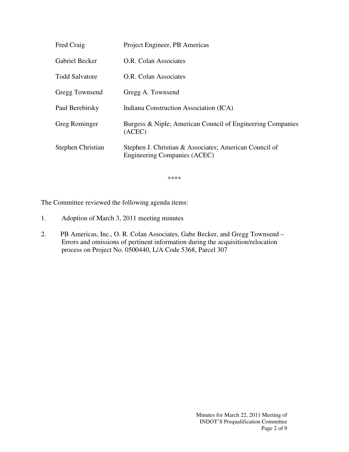| Project Engineer, PB Americas                                                                 |
|-----------------------------------------------------------------------------------------------|
| O.R. Colan Associates                                                                         |
| O.R. Colan Associates                                                                         |
| Gregg A. Townsend                                                                             |
| Indiana Construction Association (ICA)                                                        |
| Burgess & Niple; American Council of Engineering Companies<br>(ACEC)                          |
| Stephen J. Christian & Associates; American Council of<br><b>Engineering Companies (ACEC)</b> |
|                                                                                               |

\*\*\*\*

The Committee reviewed the following agenda items:

- 1. Adoption of March 3, 2011 meeting minutes
- 2. PB Americas, Inc., O. R. Colan Associates, Gabe Becker, and Gregg Townsend Errors and omissions of pertinent information during the acquisition/relocation process on Project No. 0500440, L/A Code 5368, Parcel 307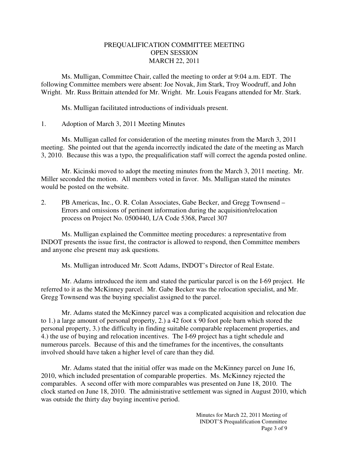## PREQUALIFICATION COMMITTEE MEETING OPEN SESSION MARCH 22, 2011

 Ms. Mulligan, Committee Chair, called the meeting to order at 9:04 a.m. EDT. The following Committee members were absent: Joe Novak, Jim Stark, Troy Woodruff, and John Wright. Mr. Russ Brittain attended for Mr. Wright. Mr. Louis Feagans attended for Mr. Stark.

Ms. Mulligan facilitated introductions of individuals present.

## 1. Adoption of March 3, 2011 Meeting Minutes

 Ms. Mulligan called for consideration of the meeting minutes from the March 3, 2011 meeting. She pointed out that the agenda incorrectly indicated the date of the meeting as March 3, 2010. Because this was a typo, the prequalification staff will correct the agenda posted online.

 Mr. Kicinski moved to adopt the meeting minutes from the March 3, 2011 meeting. Mr. Miller seconded the motion. All members voted in favor. Ms. Mulligan stated the minutes would be posted on the website.

2. PB Americas, Inc., O. R. Colan Associates, Gabe Becker, and Gregg Townsend – Errors and omissions of pertinent information during the acquisition/relocation process on Project No. 0500440, L/A Code 5368, Parcel 307

 Ms. Mulligan explained the Committee meeting procedures: a representative from INDOT presents the issue first, the contractor is allowed to respond, then Committee members and anyone else present may ask questions.

Ms. Mulligan introduced Mr. Scott Adams, INDOT's Director of Real Estate.

Mr. Adams introduced the item and stated the particular parcel is on the I-69 project. He referred to it as the McKinney parcel. Mr. Gabe Becker was the relocation specialist, and Mr. Gregg Townsend was the buying specialist assigned to the parcel.

Mr. Adams stated the McKinney parcel was a complicated acquisition and relocation due to 1.) a large amount of personal property, 2.) a 42 foot x 90 foot pole barn which stored the personal property, 3.) the difficulty in finding suitable comparable replacement properties, and 4.) the use of buying and relocation incentives. The I-69 project has a tight schedule and numerous parcels. Because of this and the timeframes for the incentives, the consultants involved should have taken a higher level of care than they did.

Mr. Adams stated that the initial offer was made on the McKinney parcel on June 16, 2010, which included presentation of comparable properties. Ms. McKinney rejected the comparables. A second offer with more comparables was presented on June 18, 2010. The clock started on June 18, 2010. The administrative settlement was signed in August 2010, which was outside the thirty day buying incentive period.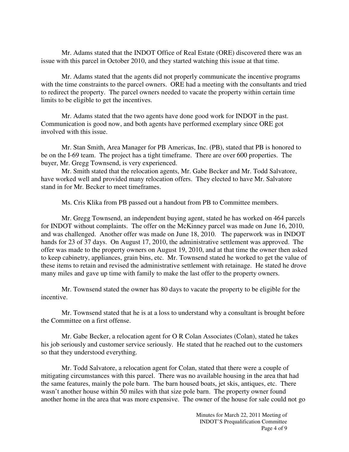Mr. Adams stated that the INDOT Office of Real Estate (ORE) discovered there was an issue with this parcel in October 2010, and they started watching this issue at that time.

Mr. Adams stated that the agents did not properly communicate the incentive programs with the time constraints to the parcel owners. ORE had a meeting with the consultants and tried to redirect the property. The parcel owners needed to vacate the property within certain time limits to be eligible to get the incentives.

Mr. Adams stated that the two agents have done good work for INDOT in the past. Communication is good now, and both agents have performed exemplary since ORE got involved with this issue.

Mr. Stan Smith, Area Manager for PB Americas, Inc. (PB), stated that PB is honored to be on the I-69 team. The project has a tight timeframe. There are over 600 properties. The buyer, Mr. Gregg Townsend, is very experienced.

Mr. Smith stated that the relocation agents, Mr. Gabe Becker and Mr. Todd Salvatore, have worked well and provided many relocation offers. They elected to have Mr. Salvatore stand in for Mr. Becker to meet timeframes.

Ms. Cris Klika from PB passed out a handout from PB to Committee members.

Mr. Gregg Townsend, an independent buying agent, stated he has worked on 464 parcels for INDOT without complaints. The offer on the McKinney parcel was made on June 16, 2010, and was challenged. Another offer was made on June 18, 2010. The paperwork was in INDOT hands for 23 of 37 days. On August 17, 2010, the administrative settlement was approved. The offer was made to the property owners on August 19, 2010, and at that time the owner then asked to keep cabinetry, appliances, grain bins, etc. Mr. Townsend stated he worked to get the value of these items to retain and revised the administrative settlement with retainage. He stated he drove many miles and gave up time with family to make the last offer to the property owners.

Mr. Townsend stated the owner has 80 days to vacate the property to be eligible for the incentive.

Mr. Townsend stated that he is at a loss to understand why a consultant is brought before the Committee on a first offense.

Mr. Gabe Becker, a relocation agent for O R Colan Associates (Colan), stated he takes his job seriously and customer service seriously. He stated that he reached out to the customers so that they understood everything.

Mr. Todd Salvatore, a relocation agent for Colan, stated that there were a couple of mitigating circumstances with this parcel. There was no available housing in the area that had the same features, mainly the pole barn. The barn housed boats, jet skis, antiques, etc. There wasn't another house within 50 miles with that size pole barn. The property owner found another home in the area that was more expensive. The owner of the house for sale could not go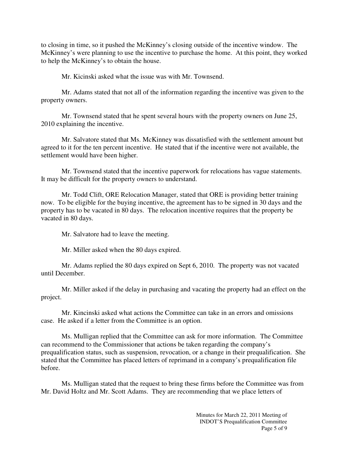to closing in time, so it pushed the McKinney's closing outside of the incentive window. The McKinney's were planning to use the incentive to purchase the home. At this point, they worked to help the McKinney's to obtain the house.

Mr. Kicinski asked what the issue was with Mr. Townsend.

Mr. Adams stated that not all of the information regarding the incentive was given to the property owners.

Mr. Townsend stated that he spent several hours with the property owners on June 25, 2010 explaining the incentive.

Mr. Salvatore stated that Ms. McKinney was dissatisfied with the settlement amount but agreed to it for the ten percent incentive. He stated that if the incentive were not available, the settlement would have been higher.

Mr. Townsend stated that the incentive paperwork for relocations has vague statements. It may be difficult for the property owners to understand.

Mr. Todd Clift, ORE Relocation Manager, stated that ORE is providing better training now. To be eligible for the buying incentive, the agreement has to be signed in 30 days and the property has to be vacated in 80 days. The relocation incentive requires that the property be vacated in 80 days.

Mr. Salvatore had to leave the meeting.

Mr. Miller asked when the 80 days expired.

Mr. Adams replied the 80 days expired on Sept 6, 2010. The property was not vacated until December.

Mr. Miller asked if the delay in purchasing and vacating the property had an effect on the project.

Mr. Kincinski asked what actions the Committee can take in an errors and omissions case. He asked if a letter from the Committee is an option.

Ms. Mulligan replied that the Committee can ask for more information. The Committee can recommend to the Commissioner that actions be taken regarding the company's prequalification status, such as suspension, revocation, or a change in their prequalification. She stated that the Committee has placed letters of reprimand in a company's prequalification file before.

Ms. Mulligan stated that the request to bring these firms before the Committee was from Mr. David Holtz and Mr. Scott Adams. They are recommending that we place letters of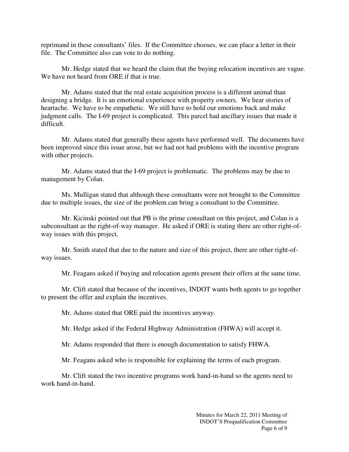reprimand in these consultants' files. If the Committee chooses, we can place a letter in their file. The Committee also can vote to do nothing.

Mr. Hedge stated that we heard the claim that the buying relocation incentives are vague. We have not heard from ORE if that is true.

Mr. Adams stated that the real estate acquisition process is a different animal than designing a bridge. It is an emotional experience with property owners. We hear stories of heartache. We have to be empathetic. We still have to hold our emotions back and make judgment calls. The I-69 project is complicated. This parcel had ancillary issues that made it difficult.

Mr. Adams stated that generally these agents have performed well. The documents have been improved since this issue arose, but we had not had problems with the incentive program with other projects.

Mr. Adams stated that the I-69 project is problematic. The problems may be due to management by Colan.

Ms. Mulligan stated that although these consultants were not brought to the Committee due to multiple issues, the size of the problem can bring a consultant to the Committee.

Mr. Kicinski pointed out that PB is the prime consultant on this project, and Colan is a subconsultant as the right-of-way manager. He asked if ORE is stating there are other right-ofway issues with this project.

Mr. Smith stated that due to the nature and size of this project, there are other right-ofway issues.

Mr. Feagans asked if buying and relocation agents present their offers at the same time.

Mr. Clift stated that because of the incentives, INDOT wants both agents to go together to present the offer and explain the incentives.

Mr. Adams stated that ORE paid the incentives anyway.

Mr. Hedge asked if the Federal Highway Administration (FHWA) will accept it.

Mr. Adams responded that there is enough documentation to satisfy FHWA.

Mr. Feagans asked who is responsible for explaining the terms of each program.

Mr. Clift stated the two incentive programs work hand-in-hand so the agents need to work hand-in-hand.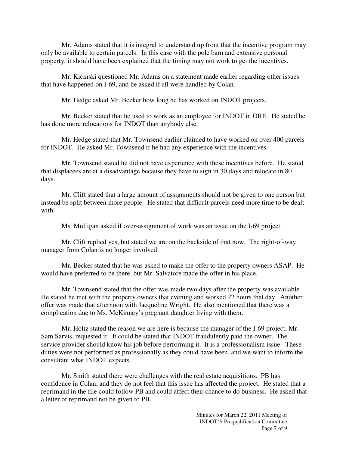Mr. Adams stated that it is integral to understand up front that the incentive program may only be available to certain parcels. In this case with the pole barn and extensive personal property, it should have been explained that the timing may not work to get the incentives.

 Mr. Kicinski questioned Mr. Adams on a statement made earlier regarding other issues that have happened on I-69, and he asked if all were handled by Colan.

Mr. Hedge asked Mr. Becker how long he has worked on INDOT projects.

Mr. Becker stated that he used to work as an employee for INDOT in ORE. He stated he has done more relocations for INDOT than anybody else.

 Mr. Hedge stated that Mr. Townsend earlier claimed to have worked on over 400 parcels for INDOT. He asked Mr. Townsend if he had any experience with the incentives.

Mr. Townsend stated he did not have experience with these incentives before. He stated that displacees are at a disadvantage because they have to sign in 30 days and relocate in 80 days.

 Mr. Clift stated that a large amount of assignments should not be given to one person but instead be split between more people. He stated that difficult parcels need more time to be dealt with.

Ms. Mulligan asked if over-assignment of work was an issue on the I-69 project.

Mr. Clift replied yes, but stated we are on the backside of that now. The right-of-way manager from Colan is no longer involved.

Mr. Becker stated that he was asked to make the offer to the property owners ASAP. He would have preferred to be there, but Mr. Salvatore made the offer in his place.

Mr. Townsend stated that the offer was made two days after the property was available. He stated he met with the property owners that evening and worked 22 hours that day. Another offer was made that afternoon with Jacqueline Wright. He also mentioned that there was a complication due to Ms. McKinney's pregnant daughter living with them.

Mr. Holtz stated the reason we are here is because the manager of the I-69 project, Mr. Sam Sarvis, requested it. It could be stated that INDOT fraudulently paid the owner. The service provider should know his job before performing it. It is a professionalism issue. These duties were not performed as professionally as they could have been, and we want to inform the consultant what INDOT expects.

Mr. Smith stated there were challenges with the real estate acquisitions. PB has confidence in Colan, and they do not feel that this issue has affected the project. He stated that a reprimand in the file could follow PB and could affect their chance to do business. He asked that a letter of reprimand not be given to PB.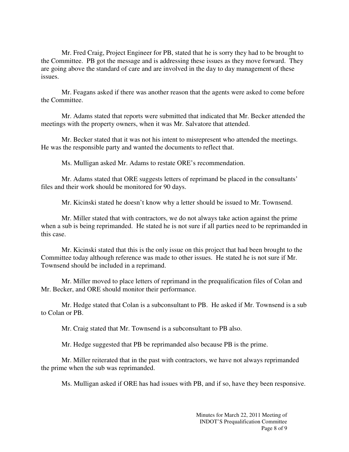Mr. Fred Craig, Project Engineer for PB, stated that he is sorry they had to be brought to the Committee. PB got the message and is addressing these issues as they move forward. They are going above the standard of care and are involved in the day to day management of these issues.

Mr. Feagans asked if there was another reason that the agents were asked to come before the Committee.

Mr. Adams stated that reports were submitted that indicated that Mr. Becker attended the meetings with the property owners, when it was Mr. Salvatore that attended.

Mr. Becker stated that it was not his intent to misrepresent who attended the meetings. He was the responsible party and wanted the documents to reflect that.

Ms. Mulligan asked Mr. Adams to restate ORE's recommendation.

Mr. Adams stated that ORE suggests letters of reprimand be placed in the consultants' files and their work should be monitored for 90 days.

Mr. Kicinski stated he doesn't know why a letter should be issued to Mr. Townsend.

Mr. Miller stated that with contractors, we do not always take action against the prime when a sub is being reprimanded. He stated he is not sure if all parties need to be reprimanded in this case.

Mr. Kicinski stated that this is the only issue on this project that had been brought to the Committee today although reference was made to other issues. He stated he is not sure if Mr. Townsend should be included in a reprimand.

Mr. Miller moved to place letters of reprimand in the prequalification files of Colan and Mr. Becker, and ORE should monitor their performance.

Mr. Hedge stated that Colan is a subconsultant to PB. He asked if Mr. Townsend is a sub to Colan or PB.

Mr. Craig stated that Mr. Townsend is a subconsultant to PB also.

Mr. Hedge suggested that PB be reprimanded also because PB is the prime.

Mr. Miller reiterated that in the past with contractors, we have not always reprimanded the prime when the sub was reprimanded.

Ms. Mulligan asked if ORE has had issues with PB, and if so, have they been responsive.